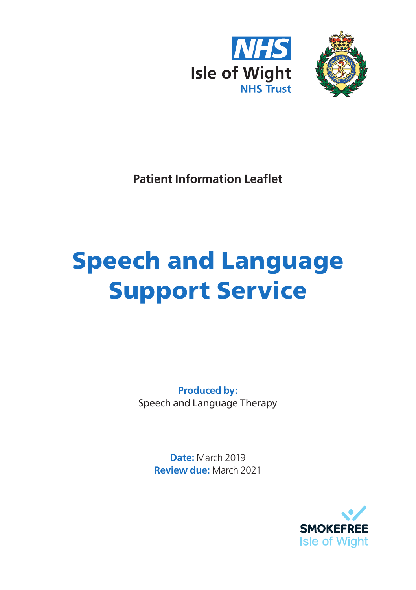



**Patient Information Leaflet**

# Speech and Language Support Service

**Produced by:** Speech and Language Therapy

> **Date:** March 2019 **Review due:** March 2021

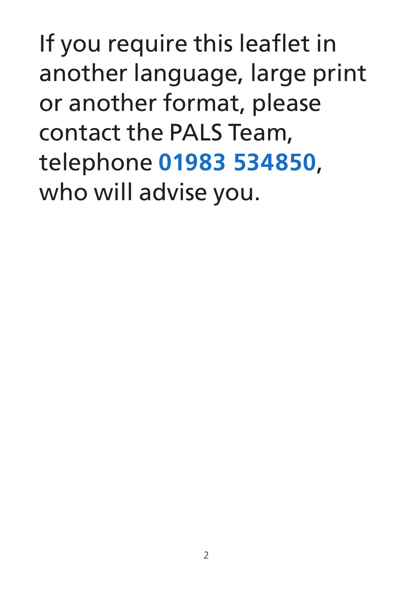If you require this leaflet in another language, large print or another format, please contact the PALS Team, telephone **01983 534850**, who will advise you.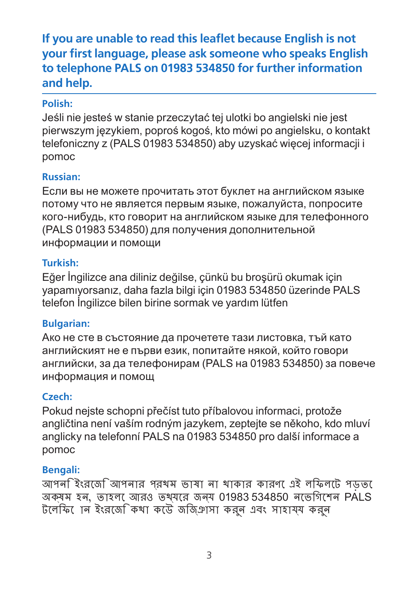## **If you are unable to read this leaflet because English is not your first language, please ask someone who speaks English to telephone PALS on 01983 534850 for further information and help.**

#### **Polish:**

Jeśli nie jesteś w stanie przeczytać tej ulotki bo angielski nie jest pierwszym językiem, poproś kogoś, kto mówi po angielsku, o kontakt telefoniczny z (PALS 01983 534850) aby uzyskać więcej informacji i pomoc

#### **Russian:**

Если вы не можете прочитать этот буклет на английском языке потому что не является первым языке, пожалуйста, попросите кого-нибудь, кто говорит на английском языке для телефонного (PALS 01983 534850) для получения дополнительной информации и помощи

#### **Turkish:**

Eğer İngilizce ana diliniz değilse, çünkü bu broşürü okumak için yapamıyorsanız, daha fazla bilgi için 01983 534850 üzerinde PALS telefon İngilizce bilen birine sormak ve yardım lütfen

## **Bulgarian:**

Ако не сте в състояние да прочетете тази листовка, тъй като английският не е първи език, попитайте някой, който говори английски, за да телефонирам (PALS на 01983 534850) за повече информация и помощ

## **Czech:**

Pokud nejste schopni přečíst tuto příbalovou informaci, protože angličtina není vaším rodným jazykem, zeptejte se někoho, kdo mluví anglicky na telefonní PALS na 01983 534850 pro další informace a pomoc

#### **Bengali:**

আপনি ইংরেজি আপনার প্রথম ভাষা না থাকার কারণে এই লিফলেট পড়তে অক্ষম হন, তাহলে আরও তথ্যের জন্য 01983 534850 নেভিগেশন PALS টেলিফোন ইংরেজি কথা কেউ জিজ্ঞাসা করুন এবং সাহায্য করুন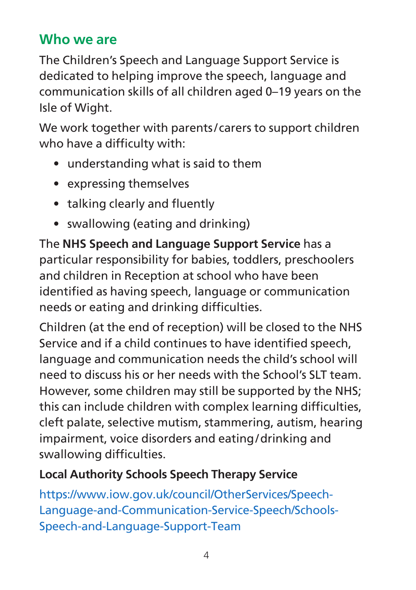## **Who we are**

The Children's Speech and Language Support Service is dedicated to helping improve the speech, language and communication skills of all children aged 0–19 years on the Isle of Wight.

We work together with parents/ carers to support children who have a difficulty with:

- understanding what is said to them
- expressing themselves
- talking clearly and fluently
- swallowing (eating and drinking)

The **NHS Speech and Language Support Service** has a particular responsibility for babies, toddlers, preschoolers and children in Reception at school who have been identified as having speech, language or communication needs or eating and drinking difficulties.

Children (at the end of reception) will be closed to the NHS Service and if a child continues to have identified speech, language and communication needs the child's school will need to discuss his or her needs with the School's SLT team. However, some children may still be supported by the NHS; this can include children with complex learning difficulties, cleft palate, selective mutism, stammering, autism, hearing impairment, voice disorders and eating/drinking and swallowing difficulties.

## **Local Authority Schools Speech Therapy Service**

https://www.iow.gov.uk/council/OtherServices/Speech-Language-and-Communication-Service-Speech/Schools-Speech-and-Language-Support-Team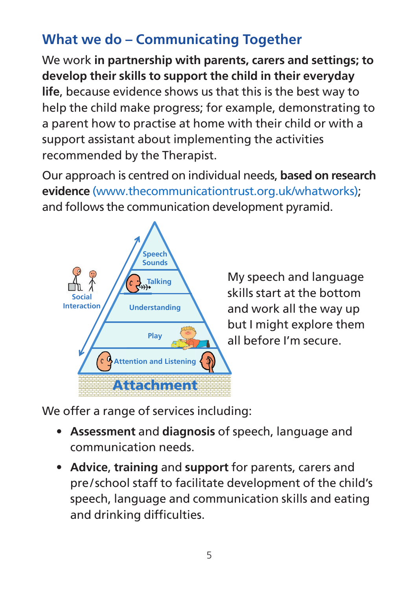# **What we do – Communicating Together**

We work **in partnership with parents, carers and settings; to develop their skills to support the child in their everyday life**, because evidence shows us that this is the best way to help the child make progress; for example, demonstrating to a parent how to practise at home with their child or with a support assistant about implementing the activities recommended by the Therapist.

Our approach is centred on individual needs, **based on research evidence** (www.thecommunicationtrust.org.uk/whatworks); and follows the communication development pyramid.



My speech and language skills start at the bottom and work all the way up but I might explore them all before I'm secure.

We offer a range of services including:

- **Assessment** and **diagnosis** of speech, language and communication needs.
- **Advice**, **training** and **support** for parents, carers and pre / school staff to facilitate development of the child's speech, language and communication skills and eating and drinking difficulties.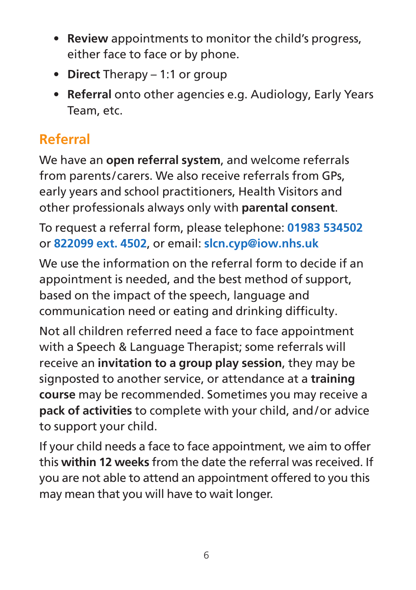- **Review** appointments to monitor the child's progress, either face to face or by phone.
- **Direct** Therapy 1:1 or group
- **Referral** onto other agencies e.g. Audiology, Early Years Team, etc.

## **Referral**

We have an **open referral system**, and welcome referrals from parents/ carers. We also receive referrals from GPs, early years and school practitioners, Health Visitors and other professionals always only with **parental consent**.

To request a referral form, please telephone: **01983 534502**  or **822099 ext. 4502**, or email: **slcn.cyp@iow.nhs.uk**

We use the information on the referral form to decide if an appointment is needed, and the best method of support, based on the impact of the speech, language and communication need or eating and drinking difficulty.

Not all children referred need a face to face appointment with a Speech & Language Therapist; some referrals will receive an **invitation to a group play session**, they may be signposted to another service, or attendance at a **training course** may be recommended. Sometimes you may receive a **pack of activities** to complete with your child, and/or advice to support your child.

If your child needs a face to face appointment, we aim to offer this **within 12 weeks** from the date the referral was received. If you are not able to attend an appointment offered to you this may mean that you will have to wait longer.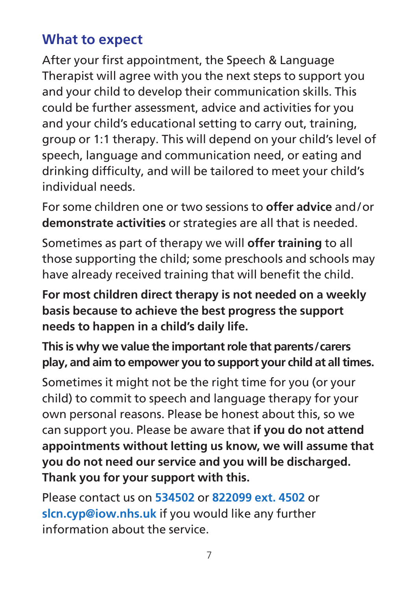## **What to expect**

After your first appointment, the Speech & Language Therapist will agree with you the next steps to support you and your child to develop their communication skills. This could be further assessment, advice and activities for you and your child's educational setting to carry out, training, group or 1:1 therapy. This will depend on your child's level of speech, language and communication need, or eating and drinking difficulty, and will be tailored to meet your child's individual needs.

For some children one or two sessions to **offer advice** and/or **demonstrate activities** or strategies are all that is needed.

Sometimes as part of therapy we will **offer training** to all those supporting the child; some preschools and schools may have already received training that will benefit the child.

**For most children direct therapy is not needed on a weekly basis because to achieve the best progress the support needs to happen in a child's daily life.**

**This is why we value the important role that parents/carers play, and aim to empower you to support your child at all times.**

Sometimes it might not be the right time for you (or your child) to commit to speech and language therapy for your own personal reasons. Please be honest about this, so we can support you. Please be aware that **if you do not attend appointments without letting us know, we will assume that you do not need our service and you will be discharged. Thank you for your support with this.**

Please contact us on **534502** or **822099 ext. 4502** or **slcn.cyp@iow.nhs.uk** if you would like any further information about the service.